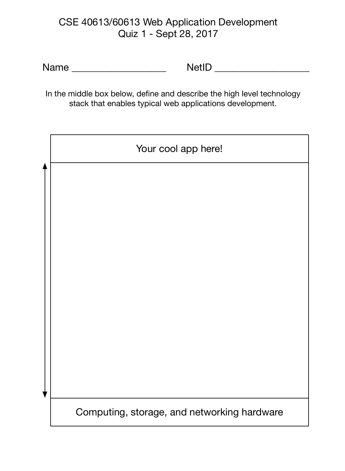# CSE 40613/60613 Web Application Development Quiz 1 - Sept 28, 2017

Name \_\_\_\_\_\_\_\_\_\_\_\_\_\_\_\_\_\_\_ NetID \_\_\_\_\_\_\_\_\_\_\_\_\_\_\_\_\_\_\_

In the middle box below, define and describe the high level technology stack that enables typical web applications development.

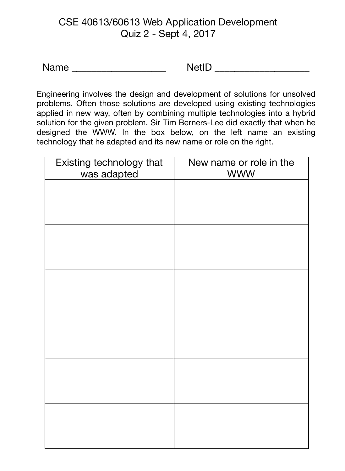# CSE 40613/60613 Web Application Development Quiz 2 - Sept 4, 2017

Name \_\_\_\_\_\_\_\_\_\_\_\_\_\_\_\_\_\_\_ NetID \_\_\_\_\_\_\_\_\_\_\_\_\_\_\_\_\_\_\_

Engineering involves the design and development of solutions for unsolved problems. Often those solutions are developed using existing technologies applied in new way, often by combining multiple technologies into a hybrid solution for the given problem. Sir Tim Berners-Lee did exactly that when he designed the WWW. In the box below, on the left name an existing technology that he adapted and its new name or role on the right.

| Existing technology that<br>was adapted | New name or role in the<br><b>WWW</b> |
|-----------------------------------------|---------------------------------------|
|                                         |                                       |
|                                         |                                       |
|                                         |                                       |
|                                         |                                       |
|                                         |                                       |
|                                         |                                       |
|                                         |                                       |
|                                         |                                       |
|                                         |                                       |
|                                         |                                       |
|                                         |                                       |
|                                         |                                       |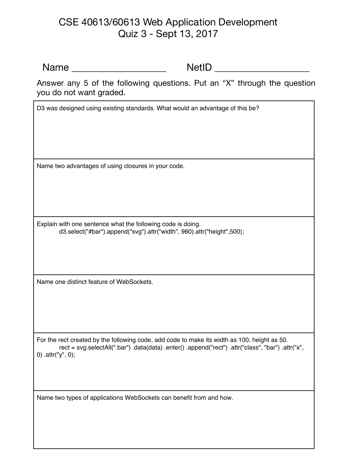### CSE 40613/60613 Web Application Development Quiz 3 - Sept 13, 2017

Name \_\_\_\_\_\_\_\_\_\_\_\_\_\_\_\_\_\_\_ NetID \_\_\_\_\_\_\_\_\_\_\_\_\_\_\_\_\_\_\_

Answer any 5 of the following questions. Put an "X" through the question you do not want graded.

D3 was designed using existing standards. What would an advantage of this be?

Name two advantages of using closures in your code.

Explain with one sentence what the following code is doing. d3.select("#bar").append("svg").attr("width", 960).attr("height",500);

Name one distinct feature of WebSockets.

For the rect created by the following code, add code to make its width as 100, height as 50. rect = svg.selectAll(".bar") .data(data) .enter() .append("rect") .attr("class", "bar") .attr("x", 0) .attr("y", 0);

Name two types of applications WebSockets can benefit from and how.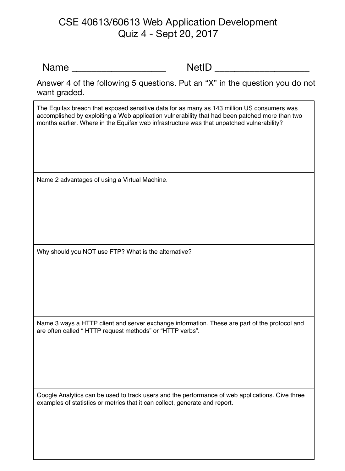### CSE 40613/60613 Web Application Development Quiz 4 - Sept 20, 2017

Name \_\_\_\_\_\_\_\_\_\_\_\_\_\_\_\_\_\_\_ NetID \_\_\_\_\_\_\_\_\_\_\_\_\_\_\_\_\_\_\_

Answer 4 of the following 5 questions. Put an "X" in the question you do not want graded.

The Equifax breach that exposed sensitive data for as many as 143 million US consumers was accomplished by exploiting a Web application vulnerability that had been patched more than two months earlier. Where in the Equifax web infrastructure was that unpatched vulnerability?

Name 2 advantages of using a Virtual Machine.

Why should you NOT use FTP? What is the alternative?

Name 3 ways a HTTP client and server exchange information. These are part of the protocol and are often called " HTTP request methods" or "HTTP verbs".

Google Analytics can be used to track users and the performance of web applications. Give three examples of statistics or metrics that it can collect, generate and report.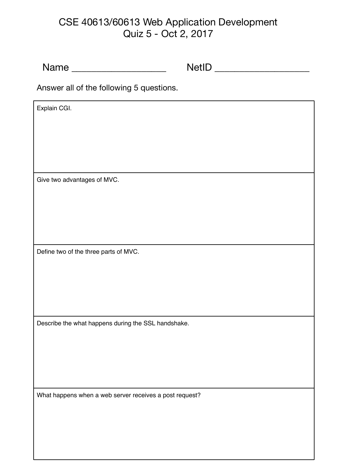# CSE 40613/60613 Web Application Development Quiz 5 - Oct 2, 2017

| Name ________________________                           |  |  |
|---------------------------------------------------------|--|--|
| Answer all of the following 5 questions.                |  |  |
| Explain CGI.                                            |  |  |
|                                                         |  |  |
|                                                         |  |  |
|                                                         |  |  |
| Give two advantages of MVC.                             |  |  |
|                                                         |  |  |
|                                                         |  |  |
| Define two of the three parts of MVC.                   |  |  |
|                                                         |  |  |
|                                                         |  |  |
|                                                         |  |  |
| Describe the what happens during the SSL handshake.     |  |  |
|                                                         |  |  |
|                                                         |  |  |
| What happens when a web server receives a post request? |  |  |
|                                                         |  |  |
|                                                         |  |  |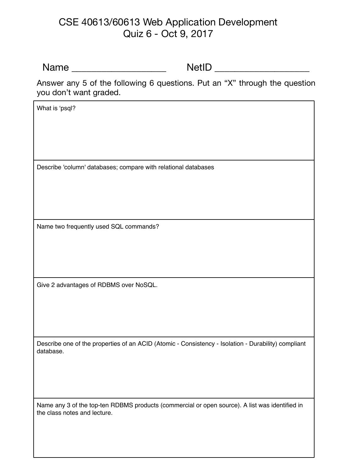### CSE 40613/60613 Web Application Development Quiz 6 - Oct 9, 2017

Name \_\_\_\_\_\_\_\_\_\_\_\_\_\_\_\_\_\_\_ NetID \_\_\_\_\_\_\_\_\_\_\_\_\_\_\_\_\_\_\_

Answer any 5 of the following 6 questions. Put an "X" through the question you don't want graded.

Describe one of the properties of an ACID (Atomic - Consistency - Isolation - Durability) compliant database. What is 'psql? Describe 'column' databases; compare with relational databases Name two frequently used SQL commands? Give 2 advantages of RDBMS over NoSQL.

Name any 3 of the top-ten RDBMS products (commercial or open source). A list was identified in the class notes and lecture.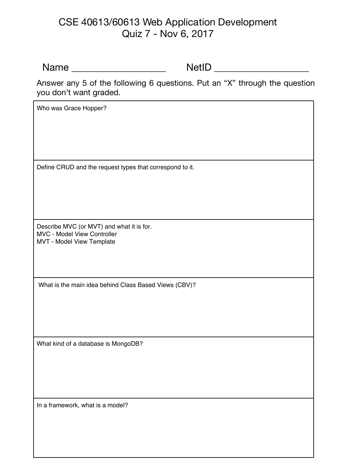### CSE 40613/60613 Web Application Development Quiz 7 - Nov 6, 2017

Name \_\_\_\_\_\_\_\_\_\_\_\_\_\_\_\_\_\_\_ NetID \_\_\_\_\_\_\_\_\_\_\_\_\_\_\_\_\_\_\_

Who was Grace Hopper?

Answer any 5 of the following 6 questions. Put an "X" through the question you don't want graded.

Define CRUD and the request types that correspond to it.

Describe MVC (or MVT) and what it is for. MVC - Model View Controller MVT - Model View Template

What is the main idea behind Class Based Views (CBV)?

What kind of a database is MongoDB?

In a framework, what is a model?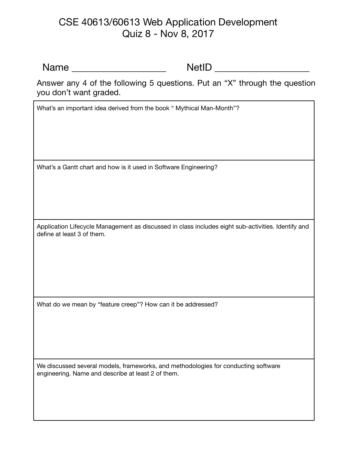### CSE 40613/60613 Web Application Development Quiz 8 - Nov 8, 2017

Name \_\_\_\_\_\_\_\_\_\_\_\_\_\_\_\_\_\_\_ NetID \_\_\_\_\_\_\_\_\_\_\_\_\_\_\_\_\_\_\_

Answer any 4 of the following 5 questions. Put an "X" through the question you don't want graded.

What's an important idea derived from the book " Mythical Man-Month"?

What's a Gantt chart and how is it used in Software Engineering?

Application Lifecycle Management as discussed in class includes eight sub-activities. Identify and define at least 3 of them.

What do we mean by "feature creep"? How can it be addressed?

We discussed several models, frameworks, and methodologies for conducting software engineering. Name and describe at least 2 of them.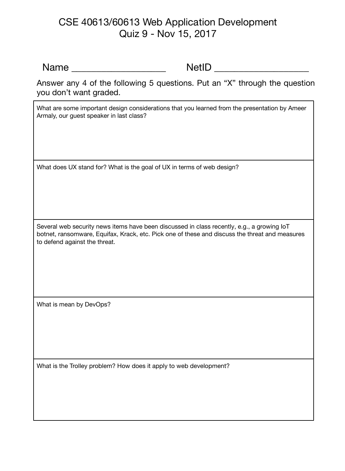### CSE 40613/60613 Web Application Development Quiz 9 - Nov 15, 2017

Name \_\_\_\_\_\_\_\_\_\_\_\_\_\_\_\_\_\_\_ NetID \_\_\_\_\_\_\_\_\_\_\_\_\_\_\_\_\_\_\_

Answer any 4 of the following 5 questions. Put an "X" through the question you don't want graded.

What are some important design considerations that you learned from the presentation by Ameer Armaly, our guest speaker in last class?

What does UX stand for? What is the goal of UX in terms of web design?

Several web security news items have been discussed in class recently, e.g., a growing IoT botnet, ransomware, Equifax, Krack, etc. Pick one of these and discuss the threat and measures to defend against the threat.

What is mean by DevOps?

What is the Trolley problem? How does it apply to web development?